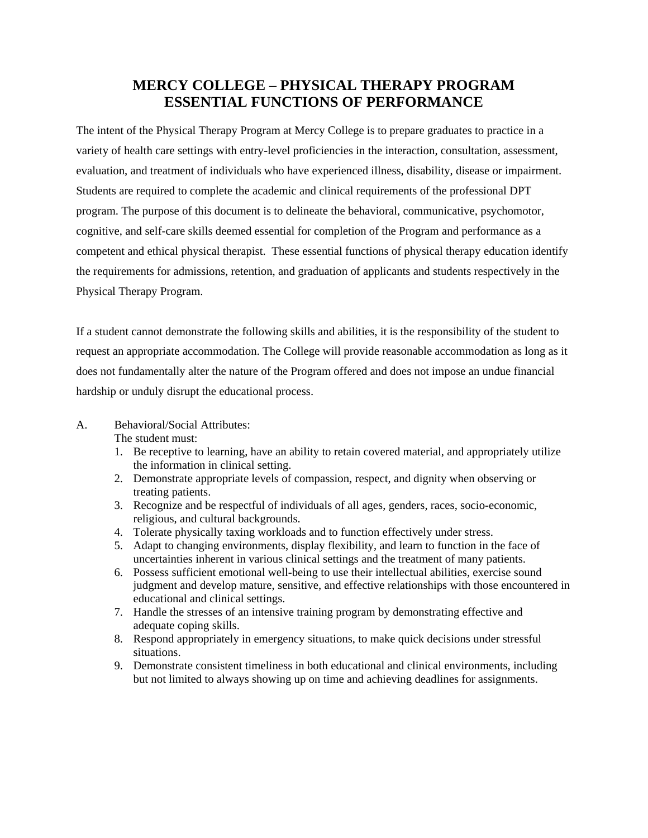# **MERCY COLLEGE – PHYSICAL THERAPY PROGRAM ESSENTIAL FUNCTIONS OF PERFORMANCE**

The intent of the Physical Therapy Program at Mercy College is to prepare graduates to practice in a variety of health care settings with entry-level proficiencies in the interaction, consultation, assessment, evaluation, and treatment of individuals who have experienced illness, disability, disease or impairment. Students are required to complete the academic and clinical requirements of the professional DPT program. The purpose of this document is to delineate the behavioral, communicative, psychomotor, cognitive, and self-care skills deemed essential for completion of the Program and performance as a competent and ethical physical therapist. These essential functions of physical therapy education identify the requirements for admissions, retention, and graduation of applicants and students respectively in the Physical Therapy Program.

If a student cannot demonstrate the following skills and abilities, it is the responsibility of the student to request an appropriate accommodation. The College will provide reasonable accommodation as long as it does not fundamentally alter the nature of the Program offered and does not impose an undue financial hardship or unduly disrupt the educational process.

A. Behavioral/Social Attributes:

The student must:

- 1. Be receptive to learning, have an ability to retain covered material, and appropriately utilize the information in clinical setting.
- 2. Demonstrate appropriate levels of compassion, respect, and dignity when observing or treating patients.
- 3. Recognize and be respectful of individuals of all ages, genders, races, socio-economic, religious, and cultural backgrounds.
- 4. Tolerate physically taxing workloads and to function effectively under stress.
- 5. Adapt to changing environments, display flexibility, and learn to function in the face of uncertainties inherent in various clinical settings and the treatment of many patients.
- 6. Possess sufficient emotional well-being to use their intellectual abilities, exercise sound judgment and develop mature, sensitive, and effective relationships with those encountered in educational and clinical settings.
- 7. Handle the stresses of an intensive training program by demonstrating effective and adequate coping skills.
- 8. Respond appropriately in emergency situations, to make quick decisions under stressful situations.
- 9. Demonstrate consistent timeliness in both educational and clinical environments, including but not limited to always showing up on time and achieving deadlines for assignments.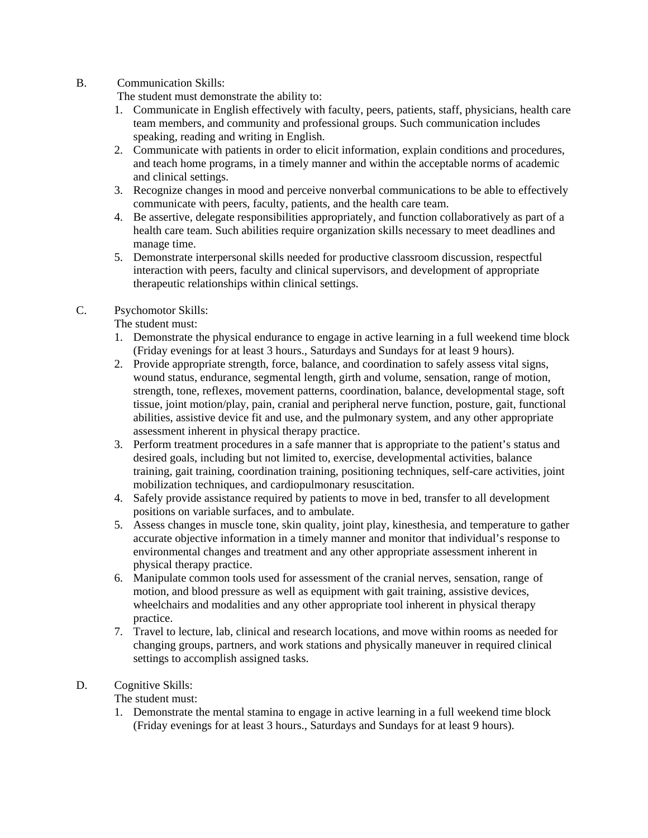#### B. Communication Skills:

The student must demonstrate the ability to:

- 1. Communicate in English effectively with faculty, peers, patients, staff, physicians, health care team members, and community and professional groups. Such communication includes speaking, reading and writing in English.
- 2. Communicate with patients in order to elicit information, explain conditions and procedures, and teach home programs, in a timely manner and within the acceptable norms of academic and clinical settings.
- 3. Recognize changes in mood and perceive nonverbal communications to be able to effectively communicate with peers, faculty, patients, and the health care team.
- 4. Be assertive, delegate responsibilities appropriately, and function collaboratively as part of a health care team. Such abilities require organization skills necessary to meet deadlines and manage time.
- 5. Demonstrate interpersonal skills needed for productive classroom discussion, respectful interaction with peers, faculty and clinical supervisors, and development of appropriate therapeutic relationships within clinical settings.

## C. Psychomotor Skills:

The student must:

- 1. Demonstrate the physical endurance to engage in active learning in a full weekend time block (Friday evenings for at least 3 hours., Saturdays and Sundays for at least 9 hours).
- 2. Provide appropriate strength, force, balance, and coordination to safely assess vital signs, wound status, endurance, segmental length, girth and volume, sensation, range of motion, strength, tone, reflexes, movement patterns, coordination, balance, developmental stage, soft tissue, joint motion/play, pain, cranial and peripheral nerve function, posture, gait, functional abilities, assistive device fit and use, and the pulmonary system, and any other appropriate assessment inherent in physical therapy practice.
- 3. Perform treatment procedures in a safe manner that is appropriate to the patient's status and desired goals, including but not limited to, exercise, developmental activities, balance training, gait training, coordination training, positioning techniques, self-care activities, joint mobilization techniques, and cardiopulmonary resuscitation.
- 4. Safely provide assistance required by patients to move in bed, transfer to all development positions on variable surfaces, and to ambulate.
- 5. Assess changes in muscle tone, skin quality, joint play, kinesthesia, and temperature to gather accurate objective information in a timely manner and monitor that individual's response to environmental changes and treatment and any other appropriate assessment inherent in physical therapy practice.
- 6. Manipulate common tools used for assessment of the cranial nerves, sensation, range of motion, and blood pressure as well as equipment with gait training, assistive devices, wheelchairs and modalities and any other appropriate tool inherent in physical therapy practice.
- 7. Travel to lecture, lab, clinical and research locations, and move within rooms as needed for changing groups, partners, and work stations and physically maneuver in required clinical settings to accomplish assigned tasks.

## D. Cognitive Skills:

The student must:

1. Demonstrate the mental stamina to engage in active learning in a full weekend time block (Friday evenings for at least 3 hours., Saturdays and Sundays for at least 9 hours).